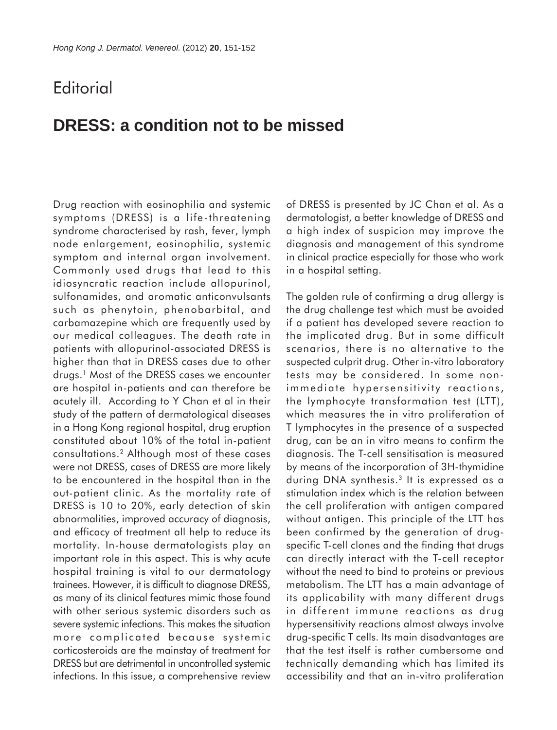## **Editorial**

## **DRESS: a condition not to be missed**

Drug reaction with eosinophilia and systemic symptoms (DRESS) is a life-threatening syndrome characterised by rash, fever, lymph node enlargement, eosinophilia, systemic symptom and internal organ involvement. Commonly used drugs that lead to this idiosyncratic reaction include allopurinol, sulfonamides, and aromatic anticonvulsants such as phenytoin, phenobarbital, and carbamazepine which are frequently used by our medical colleagues. The death rate in patients with allopurinol-associated DRESS is higher than that in DRESS cases due to other drugs.1 Most of the DRESS cases we encounter are hospital in-patients and can therefore be acutely ill. According to Y Chan et al in their study of the pattern of dermatological diseases in a Hong Kong regional hospital, drug eruption constituted about 10% of the total in-patient consultations.2 Although most of these cases were not DRESS, cases of DRESS are more likely to be encountered in the hospital than in the out-patient clinic. As the mortality rate of DRESS is 10 to 20%, early detection of skin abnormalities, improved accuracy of diagnosis, and efficacy of treatment all help to reduce its mortality. In-house dermatologists play an important role in this aspect. This is why acute hospital training is vital to our dermatology trainees. However, it is difficult to diagnose DRESS, as many of its clinical features mimic those found with other serious systemic disorders such as severe systemic infections. This makes the situation more complicated because systemic corticosteroids are the mainstay of treatment for DRESS but are detrimental in uncontrolled systemic infections. In this issue, a comprehensive review

of DRESS is presented by JC Chan et al. As a dermatologist, a better knowledge of DRESS and a high index of suspicion may improve the diagnosis and management of this syndrome in clinical practice especially for those who work in a hospital setting.

The golden rule of confirming a drug allergy is the drug challenge test which must be avoided if a patient has developed severe reaction to the implicated drug. But in some difficult scenarios, there is no alternative to the suspected culprit drug. Other in-vitro laboratory tests may be considered. In some nonimmediate hypersensitivity reactions, the lymphocyte transformation test (LTT), which measures the in vitro proliferation of T lymphocytes in the presence of a suspected drug, can be an in vitro means to confirm the diagnosis. The T-cell sensitisation is measured by means of the incorporation of 3H-thymidine during DNA synthesis.3 It is expressed as a stimulation index which is the relation between the cell proliferation with antigen compared without antigen. This principle of the LTT has been confirmed by the generation of drugspecific T-cell clones and the finding that drugs can directly interact with the T-cell receptor without the need to bind to proteins or previous metabolism. The LTT has a main advantage of its applicability with many different drugs in different immune reactions as drug hypersensitivity reactions almost always involve drug-specific T cells. Its main disadvantages are that the test itself is rather cumbersome and technically demanding which has limited its accessibility and that an in-vitro proliferation